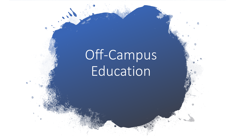# Off-Campus Education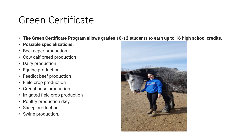### Green Certificate

- **The Green Certificate Program allows grades 10-12 students to earn up to 16 high school credits.**
- **Possible specializations:**
- Beekeeper production
- Cow calf breed production
- Dairy production
- Equine production
- Feedlot beef production
- Field crop production
- Greenhouse production
- Irrigated field crop production
- Poultry production rkey.
- Sheep production
- Swine production.

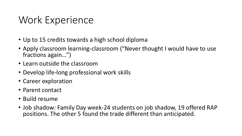### Work Experience

- Up to 15 credits towards a high school diploma
- Apply classroom learning-classroom ("Never thought I would have to use fractions again…")
- Learn outside the classroom
- Develop life-long professional work skills
- Career exploration
- Parent contact
- Build resume
- Job shadow: Family Day week-24 students on job shadow, 19 offered RAP positions. The other 5 found the trade different than anticipated.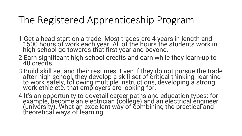### The Registered Apprenticeship Program

- 1.Get a head start on a trade. Most trades are 4 years in length and 1500 hours of work each year. All of the hours the students work in high school go towards that first year and beyond.
- 2.Earn significant high school credits and earn while they learn-up to 40 credits
- 3.Build skill set and their resumes. Even if they do not pursue the trade after high school, they develop a skill set of critical thinking, learning<br>to work safely, following multiple instructions, developing a strong work ethic etc. that employers are looking for.
- 4.It's an opportunity to dovetail career paths and education types: for example, become an electrician (college) and an electrical engineer (university). What an excellent way of combining the practical and theoretical ways of learning.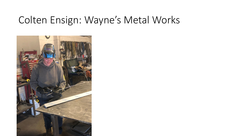### Colten Ensign: Wayne's Metal Works

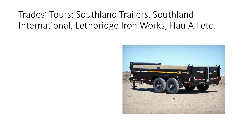#### Trades' Tours: Southland Trailers, Southland International, Lethbridge Iron Works, HaulAll etc.

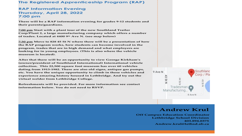#### **The Registered Apprenticeship Program (RAP)**

#### **RAP Information Evening Thursday, April 28, 2022 7:00 pm**

**There will be a RAP information evening for grades 9-12 students and their parents/guardians.**

**7:00 pm Start with a plant tour of the new Southland Trailer Corp/Plant 2, a large manufacturing company which offers a number of trades. Located at 4400 9th Ave N. (see map below)**

**7:30 pm Move to 828 45 St N where there will be a presentation of how the RAP program works, how students can become involved in the program, trades that are in high demand and what employers are looking for in young employees. (This is also where the vehicle museum is located).**

**After that there will be an opportunity to view George Kirkham's (owner/president of Southland International) International vehicle collection. This 22,500 square foot museum has over 60 vehicles dating from 1913-1982. There are also old signs, antique gas pumps, etc. You have the unique opportunity to climb in these vehicles and experience amazing history housed in Lethbridge. And try out the virtual welder from Lethbridge College.**

**Refreshments will be provided. For more information see contact information below. You do not need to RSVP.**



#### **Andrew Krul**

**Off Campus Education Coordinator Lethbridge School Division 403.894.0375 Andrew.krul@lethsd.ab.ca**